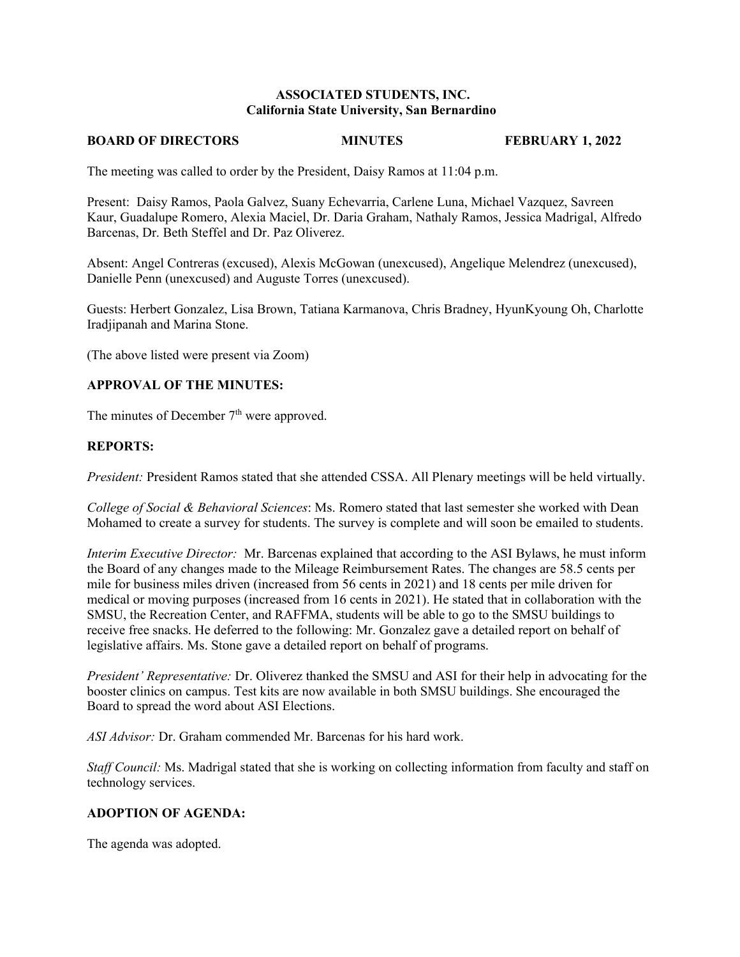# **ASSOCIATED STUDENTS, INC. California State University, San Bernardino**

#### **BOARD OF DIRECTORS MINUTES FEBRUARY 1, 2022**

The meeting was called to order by the President, Daisy Ramos at 11:04 p.m.

Present: Daisy Ramos, Paola Galvez, Suany Echevarria, Carlene Luna, Michael Vazquez, Savreen Kaur, Guadalupe Romero, Alexia Maciel, Dr. Daria Graham, Nathaly Ramos, Jessica Madrigal, Alfredo Barcenas, Dr. Beth Steffel and Dr. Paz Oliverez.

Absent: Angel Contreras (excused), Alexis McGowan (unexcused), Angelique Melendrez (unexcused), Danielle Penn (unexcused) and Auguste Torres (unexcused).

Guests: Herbert Gonzalez, Lisa Brown, Tatiana Karmanova, Chris Bradney, HyunKyoung Oh, Charlotte Iradjipanah and Marina Stone.

(The above listed were present via Zoom)

# **APPROVAL OF THE MINUTES:**

The minutes of December  $7<sup>th</sup>$  were approved.

# **REPORTS:**

*President:* President Ramos stated that she attended CSSA. All Plenary meetings will be held virtually.

*College of Social & Behavioral Sciences*: Ms. Romero stated that last semester she worked with Dean Mohamed to create a survey for students. The survey is complete and will soon be emailed to students.

*Interim Executive Director:* Mr. Barcenas explained that according to the ASI Bylaws, he must inform the Board of any changes made to the Mileage Reimbursement Rates. The changes are 58.5 cents per mile for business miles driven (increased from 56 cents in 2021) and 18 cents per mile driven for medical or moving purposes (increased from 16 cents in 2021). He stated that in collaboration with the SMSU, the Recreation Center, and RAFFMA, students will be able to go to the SMSU buildings to receive free snacks. He deferred to the following: Mr. Gonzalez gave a detailed report on behalf of legislative affairs. Ms. Stone gave a detailed report on behalf of programs.

*President' Representative:* Dr. Oliverez thanked the SMSU and ASI for their help in advocating for the booster clinics on campus. Test kits are now available in both SMSU buildings. She encouraged the Board to spread the word about ASI Elections.

*ASI Advisor:* Dr. Graham commended Mr. Barcenas for his hard work.

*Staff Council:* Ms. Madrigal stated that she is working on collecting information from faculty and staff on technology services.

# **ADOPTION OF AGENDA:**

The agenda was adopted.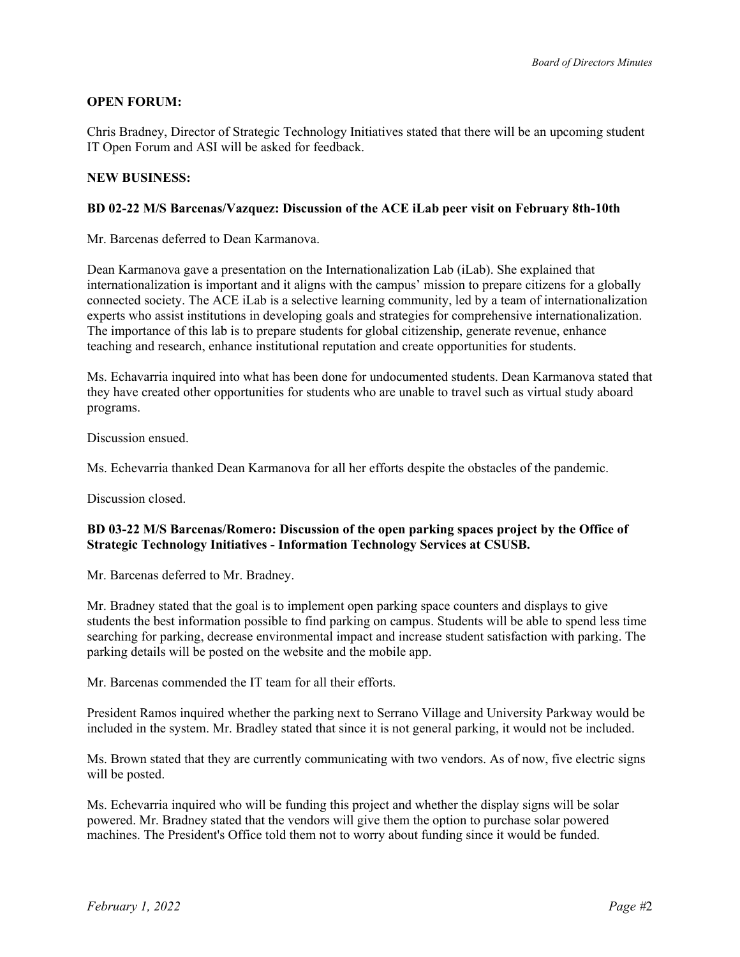# **OPEN FORUM:**

Chris Bradney, Director of Strategic Technology Initiatives stated that there will be an upcoming student IT Open Forum and ASI will be asked for feedback.

## **NEW BUSINESS:**

## **BD 02-22 M/S Barcenas/Vazquez: Discussion of the ACE iLab peer visit on February 8th-10th**

Mr. Barcenas deferred to Dean Karmanova.

Dean Karmanova gave a presentation on the Internationalization Lab (iLab). She explained that internationalization is important and it aligns with the campus' mission to prepare citizens for a globally connected society. The ACE iLab is a selective learning community, led by a team of internationalization experts who assist institutions in developing goals and strategies for comprehensive internationalization. The importance of this lab is to prepare students for global citizenship, generate revenue, enhance teaching and research, enhance institutional reputation and create opportunities for students.

Ms. Echavarria inquired into what has been done for undocumented students. Dean Karmanova stated that they have created other opportunities for students who are unable to travel such as virtual study aboard programs.

Discussion ensued.

Ms. Echevarria thanked Dean Karmanova for all her efforts despite the obstacles of the pandemic.

Discussion closed.

# **BD 03-22 M/S Barcenas/Romero: Discussion of the open parking spaces project by the Office of Strategic Technology Initiatives - Information Technology Services at CSUSB.**

Mr. Barcenas deferred to Mr. Bradney.

Mr. Bradney stated that the goal is to implement open parking space counters and displays to give students the best information possible to find parking on campus. Students will be able to spend less time searching for parking, decrease environmental impact and increase student satisfaction with parking. The parking details will be posted on the website and the mobile app.

Mr. Barcenas commended the IT team for all their efforts.

President Ramos inquired whether the parking next to Serrano Village and University Parkway would be included in the system. Mr. Bradley stated that since it is not general parking, it would not be included.

Ms. Brown stated that they are currently communicating with two vendors. As of now, five electric signs will be posted.

Ms. Echevarria inquired who will be funding this project and whether the display signs will be solar powered. Mr. Bradney stated that the vendors will give them the option to purchase solar powered machines. The President's Office told them not to worry about funding since it would be funded.